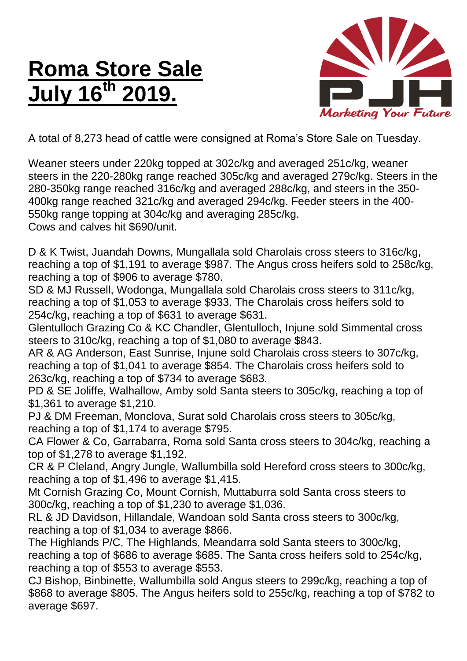## **Roma Store Sale July 16th 2019.**



A total of 8,273 head of cattle were consigned at Roma's Store Sale on Tuesday.

Weaner steers under 220kg topped at 302c/kg and averaged 251c/kg, weaner steers in the 220-280kg range reached 305c/kg and averaged 279c/kg. Steers in the 280-350kg range reached 316c/kg and averaged 288c/kg, and steers in the 350- 400kg range reached 321c/kg and averaged 294c/kg. Feeder steers in the 400- 550kg range topping at 304c/kg and averaging 285c/kg. Cows and calves hit \$690/unit.

D & K Twist, Juandah Downs, Mungallala sold Charolais cross steers to 316c/kg, reaching a top of \$1,191 to average \$987. The Angus cross heifers sold to 258c/kg, reaching a top of \$906 to average \$780.

SD & MJ Russell, Wodonga, Mungallala sold Charolais cross steers to 311c/kg, reaching a top of \$1,053 to average \$933. The Charolais cross heifers sold to 254c/kg, reaching a top of \$631 to average \$631.

Glentulloch Grazing Co & KC Chandler, Glentulloch, Injune sold Simmental cross steers to 310c/kg, reaching a top of \$1,080 to average \$843.

AR & AG Anderson, East Sunrise, Injune sold Charolais cross steers to 307c/kg, reaching a top of \$1,041 to average \$854. The Charolais cross heifers sold to 263c/kg, reaching a top of \$734 to average \$683.

PD & SE Joliffe, Walhallow, Amby sold Santa steers to 305c/kg, reaching a top of \$1,361 to average \$1,210.

PJ & DM Freeman, Monclova, Surat sold Charolais cross steers to 305c/kg, reaching a top of \$1,174 to average \$795.

CA Flower & Co, Garrabarra, Roma sold Santa cross steers to 304c/kg, reaching a top of \$1,278 to average \$1,192.

CR & P Cleland, Angry Jungle, Wallumbilla sold Hereford cross steers to 300c/kg, reaching a top of \$1,496 to average \$1,415.

Mt Cornish Grazing Co, Mount Cornish, Muttaburra sold Santa cross steers to 300c/kg, reaching a top of \$1,230 to average \$1,036.

RL & JD Davidson, Hillandale, Wandoan sold Santa cross steers to 300c/kg, reaching a top of \$1,034 to average \$866.

The Highlands P/C, The Highlands, Meandarra sold Santa steers to 300c/kg, reaching a top of \$686 to average \$685. The Santa cross heifers sold to 254c/kg, reaching a top of \$553 to average \$553.

CJ Bishop, Binbinette, Wallumbilla sold Angus steers to 299c/kg, reaching a top of \$868 to average \$805. The Angus heifers sold to 255c/kg, reaching a top of \$782 to average \$697.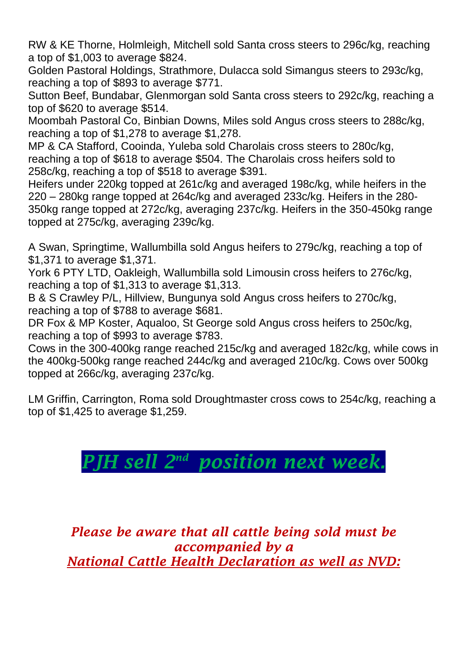RW & KE Thorne, Holmleigh, Mitchell sold Santa cross steers to 296c/kg, reaching a top of \$1,003 to average \$824.

Golden Pastoral Holdings, Strathmore, Dulacca sold Simangus steers to 293c/kg, reaching a top of \$893 to average \$771.

Sutton Beef, Bundabar, Glenmorgan sold Santa cross steers to 292c/kg, reaching a top of \$620 to average \$514.

Moombah Pastoral Co, Binbian Downs, Miles sold Angus cross steers to 288c/kg, reaching a top of \$1,278 to average \$1,278.

MP & CA Stafford, Cooinda, Yuleba sold Charolais cross steers to 280c/kg, reaching a top of \$618 to average \$504. The Charolais cross heifers sold to 258c/kg, reaching a top of \$518 to average \$391.

Heifers under 220kg topped at 261c/kg and averaged 198c/kg, while heifers in the 220 – 280kg range topped at 264c/kg and averaged 233c/kg. Heifers in the 280- 350kg range topped at 272c/kg, averaging 237c/kg. Heifers in the 350-450kg range topped at 275c/kg, averaging 239c/kg.

A Swan, Springtime, Wallumbilla sold Angus heifers to 279c/kg, reaching a top of \$1,371 to average \$1,371.

York 6 PTY LTD, Oakleigh, Wallumbilla sold Limousin cross heifers to 276c/kg, reaching a top of \$1,313 to average \$1,313.

B & S Crawley P/L, Hillview, Bungunya sold Angus cross heifers to 270c/kg, reaching a top of \$788 to average \$681.

DR Fox & MP Koster, Aqualoo, St George sold Angus cross heifers to 250c/kg, reaching a top of \$993 to average \$783.

Cows in the 300-400kg range reached 215c/kg and averaged 182c/kg, while cows in the 400kg-500kg range reached 244c/kg and averaged 210c/kg. Cows over 500kg topped at 266c/kg, averaging 237c/kg.

LM Griffin, Carrington, Roma sold Droughtmaster cross cows to 254c/kg, reaching a top of \$1,425 to average \$1,259.

## *PJH sell*  $2^{nd}$  *position next week.*

*Please be aware that all cattle being sold must be accompanied by a National Cattle Health Declaration as well as NVD:*